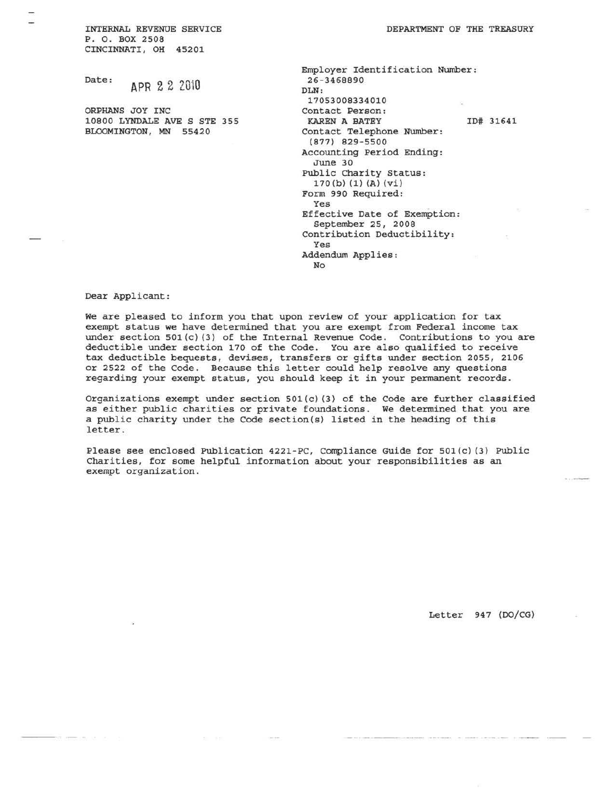INTERNAL REVENUE SERVICE P. 0. BOX 2508 CINCINNATI, OH 45201

Date: APR 2 2 2010

ORPHANS JOY INC 10800 LYNDALE AVE S STE 355 BLOOMINGTON, MN 55420

Employer Identification Number: 26-3468890 DLN: 17053008334010 Contact Person: KAREN A BATEY Contact Telephone Number: (877} 829 - 5500 Accounting Period Ending: June 30 Public Charity Status: 170 (b) (1) (A) (vi) Form 990 Required: Yes Effective Date of Exemption: September 25, 2008 Contribution Deductibility: Yes Addendum Applies: No ID# 31641

Dear Applicant:

We are pleased to inform you that upon review of your application for tax exempt status we have determined that you are exempt from Federal income tax under section 501(c) (3) of the Internal Revenue Code. Contributions to you are deductible under section 170 of the Code. You are also qualified to receive tax deductible bequests, devises, transfers or gifts under section 2055, 2106 or 2522 of the Code. Because this letter could help resolve any questions regarding your exempt status, you should keep it in your permanent records.

Organizations exempt under section 501(c) (3) of the Code are further classified as either public charities or private foundations. We determined that you are a public charity under the Code section{s) listed in the heading of this letter.

Please see enclosed Publication 4221-PC, Compliance Guide for 501(c) {3} Public Charities, for some helpful information about your responsibilities as an exempt organization.

Letter 947 (DO/CG)